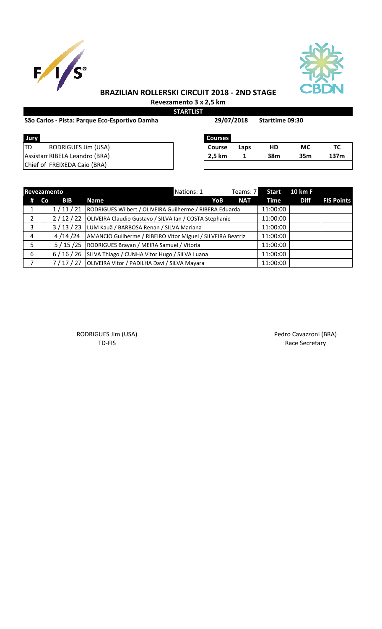



## **BRAZILIAN ROLLERSKI CIRCUIT 2018 - 2ND STAGE**

**Revezamento 3 x 2,5 km STARTLIST**

**29/07/2018**

| Jury                          | <b>Courses</b> |      |     |     |      |  |
|-------------------------------|----------------|------|-----|-----|------|--|
| RODRIGUES Jim (USA)<br>TD     | Course         | Laps | HD  | МC  |      |  |
| Assistan RIBELA Leandro (BRA) | 2,5 km         |      | 38m | 35m | 137m |  |
| Chief of FREIXEDA Caio (BRA)  |                |      |     |     |      |  |

|             |    | Revezamento |                                                             | Nations: 1 |     | Teams: 7   | <b>Start</b> | 10 km F     |                   |
|-------------|----|-------------|-------------------------------------------------------------|------------|-----|------------|--------------|-------------|-------------------|
| #           | Co | <b>BIB</b>  | <b>Name</b>                                                 |            | YoB | <b>NAT</b> | Time         | <b>Diff</b> | <b>FIS Points</b> |
|             |    | 1/11/21     | RODRIGUES Wilbert / OLIVEIRA Guilherme / RIBERA Eduarda     |            |     |            | 11:00:00     |             |                   |
| 2           |    | 2/12/22     | OLIVEIRA Claudio Gustavo / SILVA Ian / COSTA Stephanie      |            |     |            | 11:00:00     |             |                   |
| 3           |    | 3/13/23     | LUM Kauã / BARBOSA Renan / SILVA Mariana                    |            |     |            | 11:00:00     |             |                   |
| 4           |    | 4 /14 /24   | AMANCIO Guilherme / RIBEIRO Vitor Miguel / SILVEIRA Beatriz |            |     |            | 11:00:00     |             |                   |
| 5           |    | 5/15/25     | RODRIGUES Brayan / MEIRA Samuel / Vitoria                   |            |     |            | 11:00:00     |             |                   |
| 6           |    | 6/16/26     | SILVA Thiago / CUNHA Vitor Hugo / SILVA Luana               |            |     |            | 11:00:00     |             |                   |
| $7^{\circ}$ |    |             | 7 / 17 / 27 OLIVEIRA Vitor / PADILHA Davi / SILVA Mayara    |            |     |            | 11:00:00     |             |                   |

RODRIGUES Jim (USA) **Pedro Cavazzoni (BRA)** Pedro Cavazzoni (BRA)

TD-FIS Race Secretary